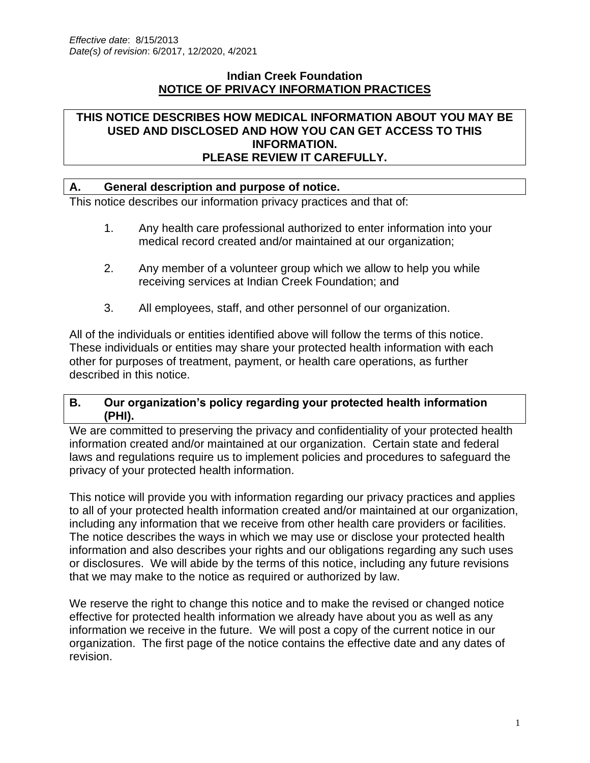#### **Indian Creek Foundation NOTICE OF PRIVACY INFORMATION PRACTICES**

#### **THIS NOTICE DESCRIBES HOW MEDICAL INFORMATION ABOUT YOU MAY BE USED AND DISCLOSED AND HOW YOU CAN GET ACCESS TO THIS INFORMATION. PLEASE REVIEW IT CAREFULLY.**

#### **A. General description and purpose of notice.**

This notice describes our information privacy practices and that of:

- 1. Any health care professional authorized to enter information into your medical record created and/or maintained at our organization;
- 2. Any member of a volunteer group which we allow to help you while receiving services at Indian Creek Foundation; and
- 3. All employees, staff, and other personnel of our organization.

All of the individuals or entities identified above will follow the terms of this notice. These individuals or entities may share your protected health information with each other for purposes of treatment, payment, or health care operations, as further described in this notice.

#### **B. Our organization's policy regarding your protected health information (PHI).**

We are committed to preserving the privacy and confidentiality of your protected health information created and/or maintained at our organization. Certain state and federal laws and regulations require us to implement policies and procedures to safeguard the privacy of your protected health information.

This notice will provide you with information regarding our privacy practices and applies to all of your protected health information created and/or maintained at our organization, including any information that we receive from other health care providers or facilities. The notice describes the ways in which we may use or disclose your protected health information and also describes your rights and our obligations regarding any such uses or disclosures. We will abide by the terms of this notice, including any future revisions that we may make to the notice as required or authorized by law.

We reserve the right to change this notice and to make the revised or changed notice effective for protected health information we already have about you as well as any information we receive in the future. We will post a copy of the current notice in our organization. The first page of the notice contains the effective date and any dates of revision.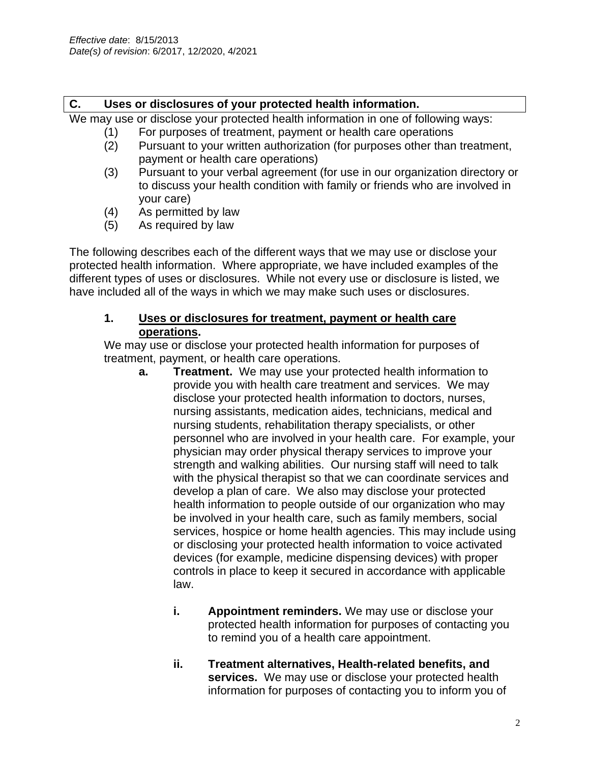### **C. Uses or disclosures of your protected health information.**

We may use or disclose your protected health information in one of following ways:

- (1) For purposes of treatment, payment or health care operations
- (2) Pursuant to your written authorization (for purposes other than treatment, payment or health care operations)
- (3) Pursuant to your verbal agreement (for use in our organization directory or to discuss your health condition with family or friends who are involved in your care)
- (4) As permitted by law
- (5) As required by law

The following describes each of the different ways that we may use or disclose your protected health information. Where appropriate, we have included examples of the different types of uses or disclosures. While not every use or disclosure is listed, we have included all of the ways in which we may make such uses or disclosures.

### **1. Uses or disclosures for treatment, payment or health care operations.**

We may use or disclose your protected health information for purposes of treatment, payment, or health care operations.

- **a. Treatment.** We may use your protected health information to provide you with health care treatment and services. We may disclose your protected health information to doctors, nurses, nursing assistants, medication aides, technicians, medical and nursing students, rehabilitation therapy specialists, or other personnel who are involved in your health care. For example, your physician may order physical therapy services to improve your strength and walking abilities. Our nursing staff will need to talk with the physical therapist so that we can coordinate services and develop a plan of care. We also may disclose your protected health information to people outside of our organization who may be involved in your health care, such as family members, social services, hospice or home health agencies. This may include using or disclosing your protected health information to voice activated devices (for example, medicine dispensing devices) with proper controls in place to keep it secured in accordance with applicable law.
	- **i. Appointment reminders.** We may use or disclose your protected health information for purposes of contacting you to remind you of a health care appointment.
	- **ii. Treatment alternatives, Health-related benefits, and services.** We may use or disclose your protected health information for purposes of contacting you to inform you of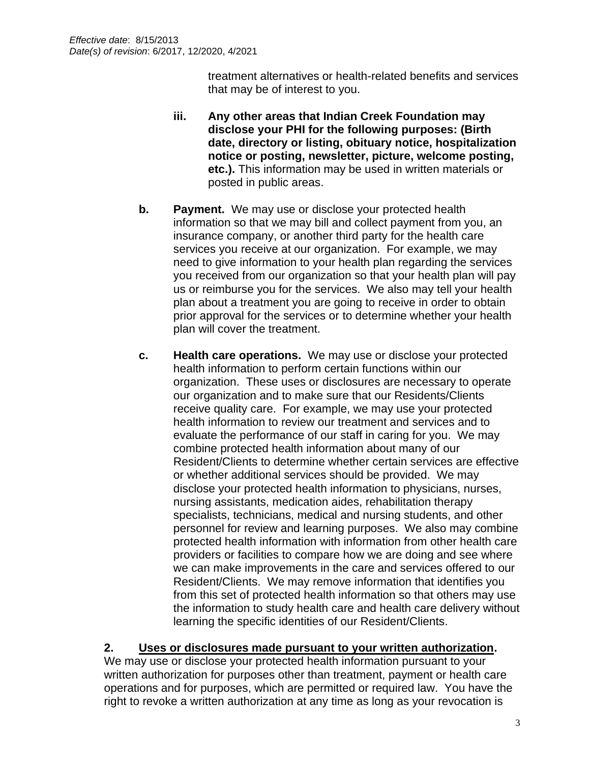treatment alternatives or health-related benefits and services that may be of interest to you.

- **iii. Any other areas that Indian Creek Foundation may disclose your PHI for the following purposes: (Birth date, directory or listing, obituary notice, hospitalization notice or posting, newsletter, picture, welcome posting, etc.).** This information may be used in written materials or posted in public areas.
- **b. Payment.** We may use or disclose your protected health information so that we may bill and collect payment from you, an insurance company, or another third party for the health care services you receive at our organization. For example, we may need to give information to your health plan regarding the services you received from our organization so that your health plan will pay us or reimburse you for the services. We also may tell your health plan about a treatment you are going to receive in order to obtain prior approval for the services or to determine whether your health plan will cover the treatment.
- **c. Health care operations.** We may use or disclose your protected health information to perform certain functions within our organization. These uses or disclosures are necessary to operate our organization and to make sure that our Residents/Clients receive quality care. For example, we may use your protected health information to review our treatment and services and to evaluate the performance of our staff in caring for you. We may combine protected health information about many of our Resident/Clients to determine whether certain services are effective or whether additional services should be provided. We may disclose your protected health information to physicians, nurses, nursing assistants, medication aides, rehabilitation therapy specialists, technicians, medical and nursing students, and other personnel for review and learning purposes. We also may combine protected health information with information from other health care providers or facilities to compare how we are doing and see where we can make improvements in the care and services offered to our Resident/Clients. We may remove information that identifies you from this set of protected health information so that others may use the information to study health care and health care delivery without learning the specific identities of our Resident/Clients.

# **2. Uses or disclosures made pursuant to your written authorization.**

We may use or disclose your protected health information pursuant to your written authorization for purposes other than treatment, payment or health care operations and for purposes, which are permitted or required law. You have the right to revoke a written authorization at any time as long as your revocation is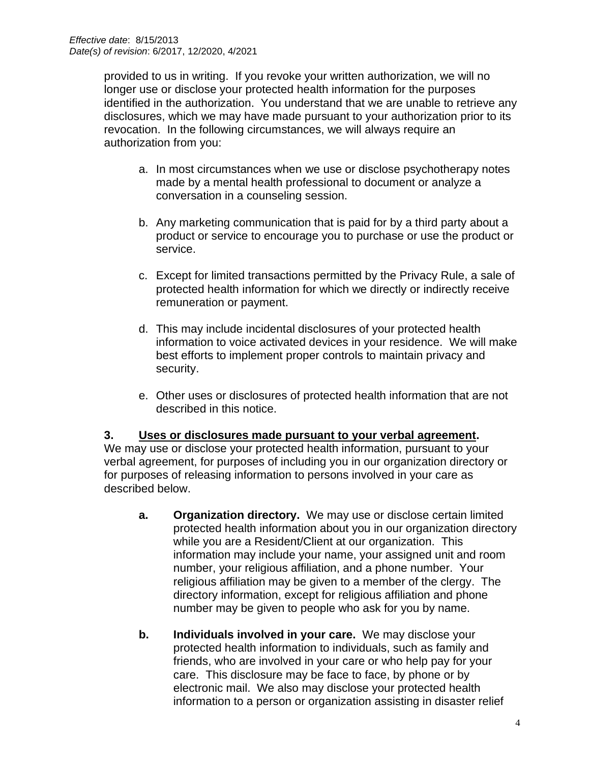provided to us in writing. If you revoke your written authorization, we will no longer use or disclose your protected health information for the purposes identified in the authorization. You understand that we are unable to retrieve any disclosures, which we may have made pursuant to your authorization prior to its revocation. In the following circumstances, we will always require an authorization from you:

- a. In most circumstances when we use or disclose psychotherapy notes made by a mental health professional to document or analyze a conversation in a counseling session.
- b. Any marketing communication that is paid for by a third party about a product or service to encourage you to purchase or use the product or service.
- c. Except for limited transactions permitted by the Privacy Rule, a sale of protected health information for which we directly or indirectly receive remuneration or payment.
- d. This may include incidental disclosures of your protected health information to voice activated devices in your residence. We will make best efforts to implement proper controls to maintain privacy and security.
- e. Other uses or disclosures of protected health information that are not described in this notice.

#### **3. Uses or disclosures made pursuant to your verbal agreement.**

We may use or disclose your protected health information, pursuant to your verbal agreement, for purposes of including you in our organization directory or for purposes of releasing information to persons involved in your care as described below.

- **a. Organization directory.** We may use or disclose certain limited protected health information about you in our organization directory while you are a Resident/Client at our organization. This information may include your name, your assigned unit and room number, your religious affiliation, and a phone number. Your religious affiliation may be given to a member of the clergy. The directory information, except for religious affiliation and phone number may be given to people who ask for you by name.
- **b. Individuals involved in your care.** We may disclose your protected health information to individuals, such as family and friends, who are involved in your care or who help pay for your care. This disclosure may be face to face, by phone or by electronic mail. We also may disclose your protected health information to a person or organization assisting in disaster relief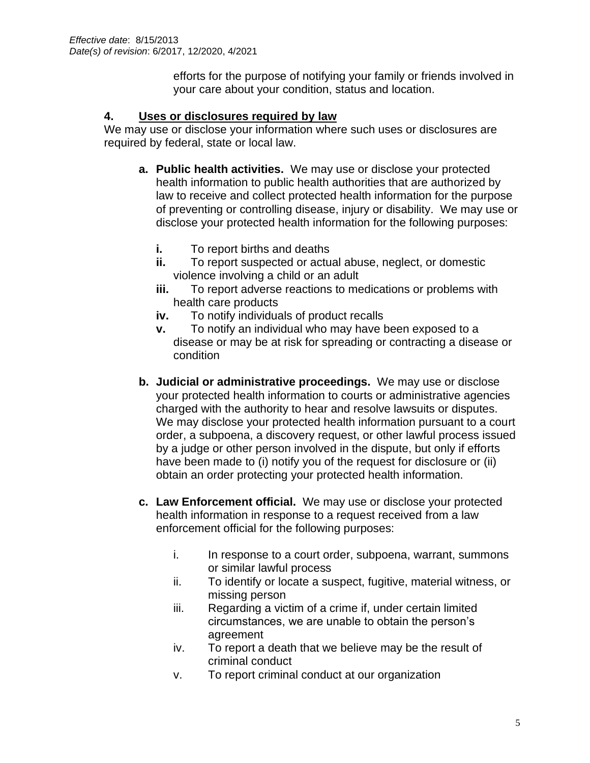efforts for the purpose of notifying your family or friends involved in your care about your condition, status and location.

## **4. Uses or disclosures required by law**

We may use or disclose your information where such uses or disclosures are required by federal, state or local law.

- **a. Public health activities.** We may use or disclose your protected health information to public health authorities that are authorized by law to receive and collect protected health information for the purpose of preventing or controlling disease, injury or disability. We may use or disclose your protected health information for the following purposes:
	- **i.** To report births and deaths
	- **ii.** To report suspected or actual abuse, neglect, or domestic violence involving a child or an adult
	- **iii.** To report adverse reactions to medications or problems with health care products
	- **iv.** To notify individuals of product recalls
	- **v.** To notify an individual who may have been exposed to a disease or may be at risk for spreading or contracting a disease or condition
- **b. Judicial or administrative proceedings.** We may use or disclose your protected health information to courts or administrative agencies charged with the authority to hear and resolve lawsuits or disputes. We may disclose your protected health information pursuant to a court order, a subpoena, a discovery request, or other lawful process issued by a judge or other person involved in the dispute, but only if efforts have been made to (i) notify you of the request for disclosure or (ii) obtain an order protecting your protected health information.
- **c. Law Enforcement official.** We may use or disclose your protected health information in response to a request received from a law enforcement official for the following purposes:
	- i. In response to a court order, subpoena, warrant, summons or similar lawful process
	- ii. To identify or locate a suspect, fugitive, material witness, or missing person
	- iii. Regarding a victim of a crime if, under certain limited circumstances, we are unable to obtain the person's agreement
	- iv. To report a death that we believe may be the result of criminal conduct
	- v. To report criminal conduct at our organization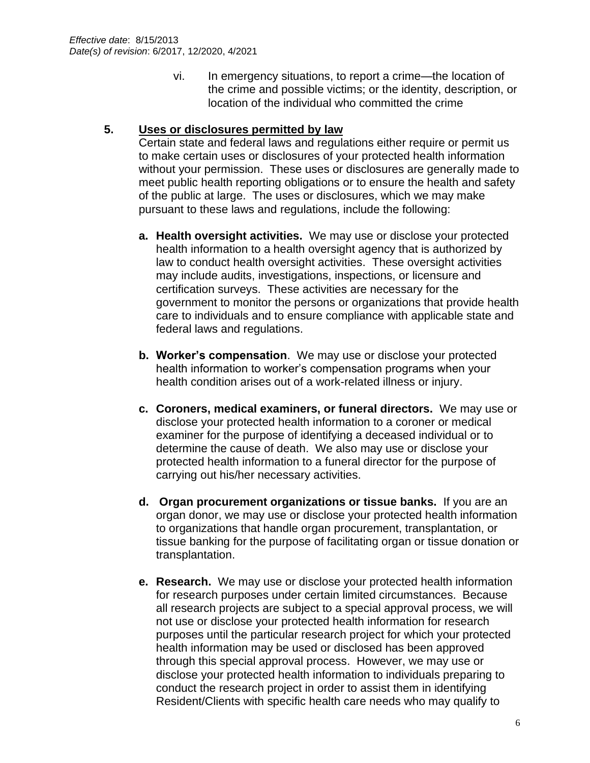vi. In emergency situations, to report a crime—the location of the crime and possible victims; or the identity, description, or location of the individual who committed the crime

### **5. Uses or disclosures permitted by law**

Certain state and federal laws and regulations either require or permit us to make certain uses or disclosures of your protected health information without your permission. These uses or disclosures are generally made to meet public health reporting obligations or to ensure the health and safety of the public at large. The uses or disclosures, which we may make pursuant to these laws and regulations, include the following:

- **a. Health oversight activities.** We may use or disclose your protected health information to a health oversight agency that is authorized by law to conduct health oversight activities. These oversight activities may include audits, investigations, inspections, or licensure and certification surveys. These activities are necessary for the government to monitor the persons or organizations that provide health care to individuals and to ensure compliance with applicable state and federal laws and regulations.
- **b. Worker's compensation**. We may use or disclose your protected health information to worker's compensation programs when your health condition arises out of a work-related illness or injury.
- **c. Coroners, medical examiners, or funeral directors.** We may use or disclose your protected health information to a coroner or medical examiner for the purpose of identifying a deceased individual or to determine the cause of death. We also may use or disclose your protected health information to a funeral director for the purpose of carrying out his/her necessary activities.
- **d. Organ procurement organizations or tissue banks.** If you are an organ donor, we may use or disclose your protected health information to organizations that handle organ procurement, transplantation, or tissue banking for the purpose of facilitating organ or tissue donation or transplantation.
- **e. Research.** We may use or disclose your protected health information for research purposes under certain limited circumstances. Because all research projects are subject to a special approval process, we will not use or disclose your protected health information for research purposes until the particular research project for which your protected health information may be used or disclosed has been approved through this special approval process. However, we may use or disclose your protected health information to individuals preparing to conduct the research project in order to assist them in identifying Resident/Clients with specific health care needs who may qualify to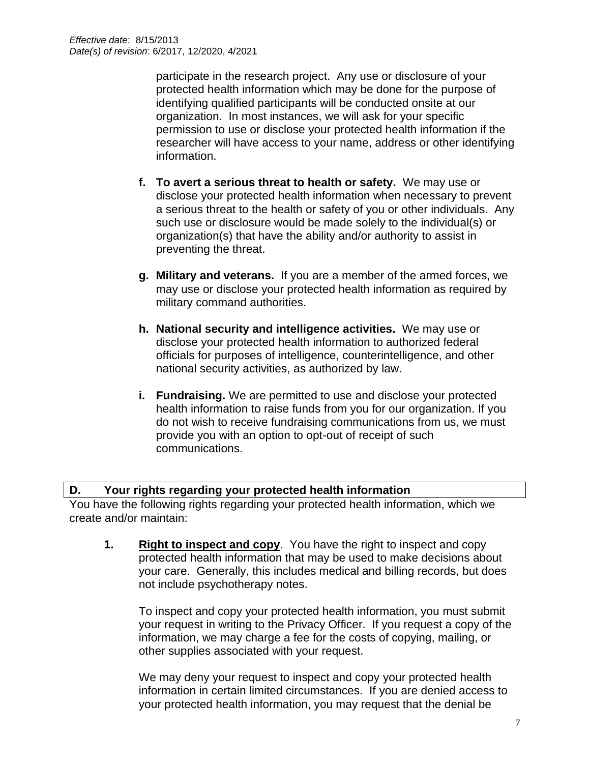participate in the research project. Any use or disclosure of your protected health information which may be done for the purpose of identifying qualified participants will be conducted onsite at our organization. In most instances, we will ask for your specific permission to use or disclose your protected health information if the researcher will have access to your name, address or other identifying information.

- **f. To avert a serious threat to health or safety.** We may use or disclose your protected health information when necessary to prevent a serious threat to the health or safety of you or other individuals. Any such use or disclosure would be made solely to the individual(s) or organization(s) that have the ability and/or authority to assist in preventing the threat.
- **g. Military and veterans.** If you are a member of the armed forces, we may use or disclose your protected health information as required by military command authorities.
- **h. National security and intelligence activities.** We may use or disclose your protected health information to authorized federal officials for purposes of intelligence, counterintelligence, and other national security activities, as authorized by law.
- **i. Fundraising.** We are permitted to use and disclose your protected health information to raise funds from you for our organization. If you do not wish to receive fundraising communications from us, we must provide you with an option to opt-out of receipt of such communications.

## **D. Your rights regarding your protected health information**

You have the following rights regarding your protected health information, which we create and/or maintain:

**1. Right to inspect and copy**. You have the right to inspect and copy protected health information that may be used to make decisions about your care. Generally, this includes medical and billing records, but does not include psychotherapy notes.

To inspect and copy your protected health information, you must submit your request in writing to the Privacy Officer. If you request a copy of the information, we may charge a fee for the costs of copying, mailing, or other supplies associated with your request.

We may deny your request to inspect and copy your protected health information in certain limited circumstances. If you are denied access to your protected health information, you may request that the denial be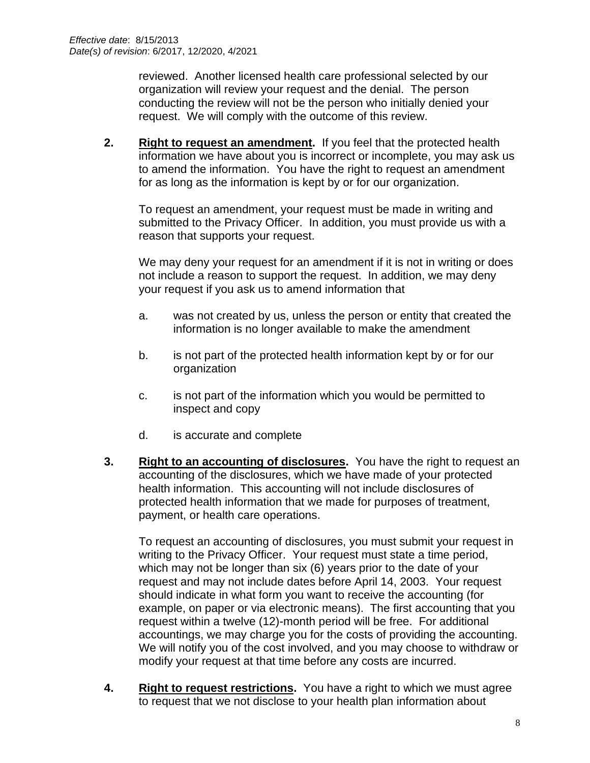reviewed. Another licensed health care professional selected by our organization will review your request and the denial. The person conducting the review will not be the person who initially denied your request. We will comply with the outcome of this review.

**2. Right to request an amendment.** If you feel that the protected health information we have about you is incorrect or incomplete, you may ask us to amend the information. You have the right to request an amendment for as long as the information is kept by or for our organization.

To request an amendment, your request must be made in writing and submitted to the Privacy Officer. In addition, you must provide us with a reason that supports your request.

We may deny your request for an amendment if it is not in writing or does not include a reason to support the request. In addition, we may deny your request if you ask us to amend information that

- a. was not created by us, unless the person or entity that created the information is no longer available to make the amendment
- b. is not part of the protected health information kept by or for our organization
- c. is not part of the information which you would be permitted to inspect and copy
- d. is accurate and complete
- **3. Right to an accounting of disclosures.** You have the right to request an accounting of the disclosures, which we have made of your protected health information. This accounting will not include disclosures of protected health information that we made for purposes of treatment, payment, or health care operations.

To request an accounting of disclosures, you must submit your request in writing to the Privacy Officer. Your request must state a time period, which may not be longer than six (6) years prior to the date of your request and may not include dates before April 14, 2003. Your request should indicate in what form you want to receive the accounting (for example, on paper or via electronic means). The first accounting that you request within a twelve (12)-month period will be free. For additional accountings, we may charge you for the costs of providing the accounting. We will notify you of the cost involved, and you may choose to withdraw or modify your request at that time before any costs are incurred.

**4. Right to request restrictions.** You have a right to which we must agree to request that we not disclose to your health plan information about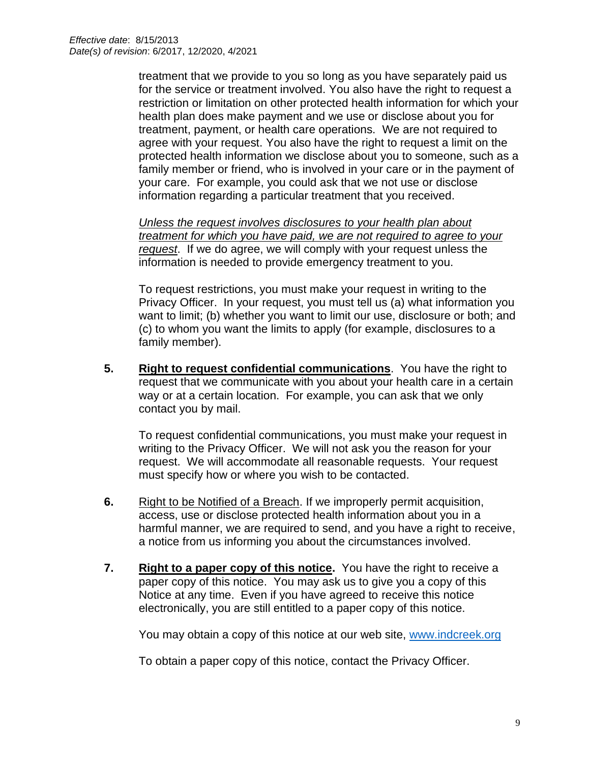treatment that we provide to you so long as you have separately paid us for the service or treatment involved. You also have the right to request a restriction or limitation on other protected health information for which your health plan does make payment and we use or disclose about you for treatment, payment, or health care operations. We are not required to agree with your request. You also have the right to request a limit on the protected health information we disclose about you to someone, such as a family member or friend, who is involved in your care or in the payment of your care. For example, you could ask that we not use or disclose information regarding a particular treatment that you received.

*Unless the request involves disclosures to your health plan about treatment for which you have paid, we are not required to agree to your request*. If we do agree, we will comply with your request unless the information is needed to provide emergency treatment to you.

To request restrictions, you must make your request in writing to the Privacy Officer. In your request, you must tell us (a) what information you want to limit; (b) whether you want to limit our use, disclosure or both; and (c) to whom you want the limits to apply (for example, disclosures to a family member).

**5. Right to request confidential communications**. You have the right to request that we communicate with you about your health care in a certain way or at a certain location. For example, you can ask that we only contact you by mail.

To request confidential communications, you must make your request in writing to the Privacy Officer. We will not ask you the reason for your request. We will accommodate all reasonable requests. Your request must specify how or where you wish to be contacted.

- **6.** Right to be Notified of a Breach. If we improperly permit acquisition, access, use or disclose protected health information about you in a harmful manner, we are required to send, and you have a right to receive, a notice from us informing you about the circumstances involved.
- **7. Right to a paper copy of this notice.** You have the right to receive a paper copy of this notice. You may ask us to give you a copy of this Notice at any time. Even if you have agreed to receive this notice electronically, you are still entitled to a paper copy of this notice.

You may obtain a copy of this notice at our web site, [www.indcreek.org](http://www.indcreek.org/)

To obtain a paper copy of this notice, contact the Privacy Officer.